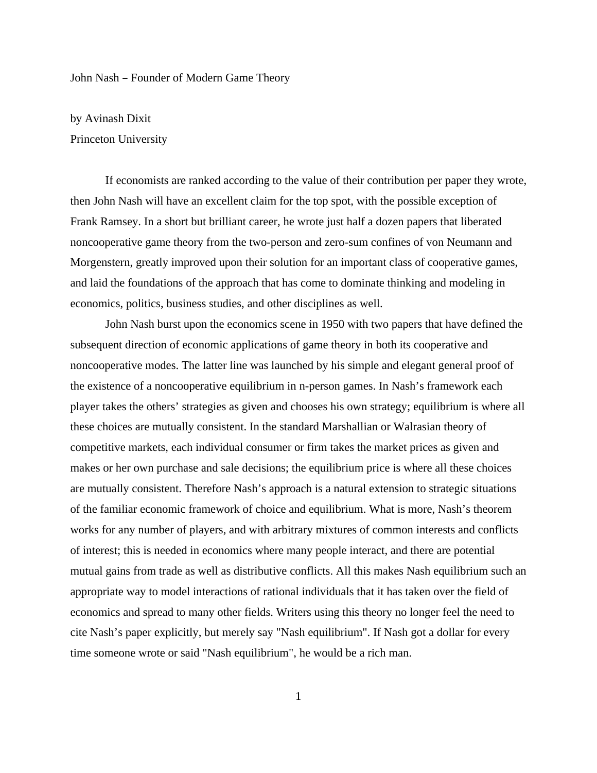## John Nash – Founder of Modern Game Theory

by Avinash Dixit Princeton University

If economists are ranked according to the value of their contribution per paper they wrote, then John Nash will have an excellent claim for the top spot, with the possible exception of Frank Ramsey. In a short but brilliant career, he wrote just half a dozen papers that liberated noncooperative game theory from the two-person and zero-sum confines of von Neumann and Morgenstern, greatly improved upon their solution for an important class of cooperative games, and laid the foundations of the approach that has come to dominate thinking and modeling in economics, politics, business studies, and other disciplines as well.

John Nash burst upon the economics scene in 1950 with two papers that have defined the subsequent direction of economic applications of game theory in both its cooperative and noncooperative modes. The latter line was launched by his simple and elegant general proof of the existence of a noncooperative equilibrium in n-person games. In Nash's framework each player takes the others' strategies as given and chooses his own strategy; equilibrium is where all these choices are mutually consistent. In the standard Marshallian or Walrasian theory of competitive markets, each individual consumer or firm takes the market prices as given and makes or her own purchase and sale decisions; the equilibrium price is where all these choices are mutually consistent. Therefore Nash's approach is a natural extension to strategic situations of the familiar economic framework of choice and equilibrium. What is more, Nash's theorem works for any number of players, and with arbitrary mixtures of common interests and conflicts of interest; this is needed in economics where many people interact, and there are potential mutual gains from trade as well as distributive conflicts. All this makes Nash equilibrium such an appropriate way to model interactions of rational individuals that it has taken over the field of economics and spread to many other fields. Writers using this theory no longer feel the need to cite Nash's paper explicitly, but merely say "Nash equilibrium". If Nash got a dollar for every time someone wrote or said "Nash equilibrium", he would be a rich man.

1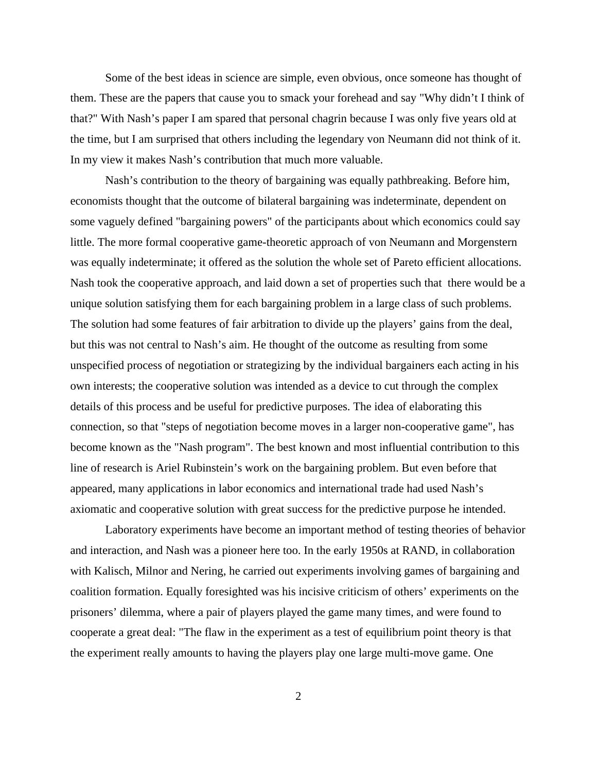Some of the best ideas in science are simple, even obvious, once someone has thought of them. These are the papers that cause you to smack your forehead and say "Why didn't I think of that?" With Nash's paper I am spared that personal chagrin because I was only five years old at the time, but I am surprised that others including the legendary von Neumann did not think of it. In my view it makes Nash's contribution that much more valuable.

Nash's contribution to the theory of bargaining was equally pathbreaking. Before him, economists thought that the outcome of bilateral bargaining was indeterminate, dependent on some vaguely defined "bargaining powers" of the participants about which economics could say little. The more formal cooperative game-theoretic approach of von Neumann and Morgenstern was equally indeterminate; it offered as the solution the whole set of Pareto efficient allocations. Nash took the cooperative approach, and laid down a set of properties such that there would be a unique solution satisfying them for each bargaining problem in a large class of such problems. The solution had some features of fair arbitration to divide up the players' gains from the deal, but this was not central to Nash's aim. He thought of the outcome as resulting from some unspecified process of negotiation or strategizing by the individual bargainers each acting in his own interests; the cooperative solution was intended as a device to cut through the complex details of this process and be useful for predictive purposes. The idea of elaborating this connection, so that "steps of negotiation become moves in a larger non-cooperative game", has become known as the "Nash program". The best known and most influential contribution to this line of research is Ariel Rubinstein's work on the bargaining problem. But even before that appeared, many applications in labor economics and international trade had used Nash's axiomatic and cooperative solution with great success for the predictive purpose he intended.

Laboratory experiments have become an important method of testing theories of behavior and interaction, and Nash was a pioneer here too. In the early 1950s at RAND, in collaboration with Kalisch, Milnor and Nering, he carried out experiments involving games of bargaining and coalition formation. Equally foresighted was his incisive criticism of others' experiments on the prisoners' dilemma, where a pair of players played the game many times, and were found to cooperate a great deal: "The flaw in the experiment as a test of equilibrium point theory is that the experiment really amounts to having the players play one large multi-move game. One

2